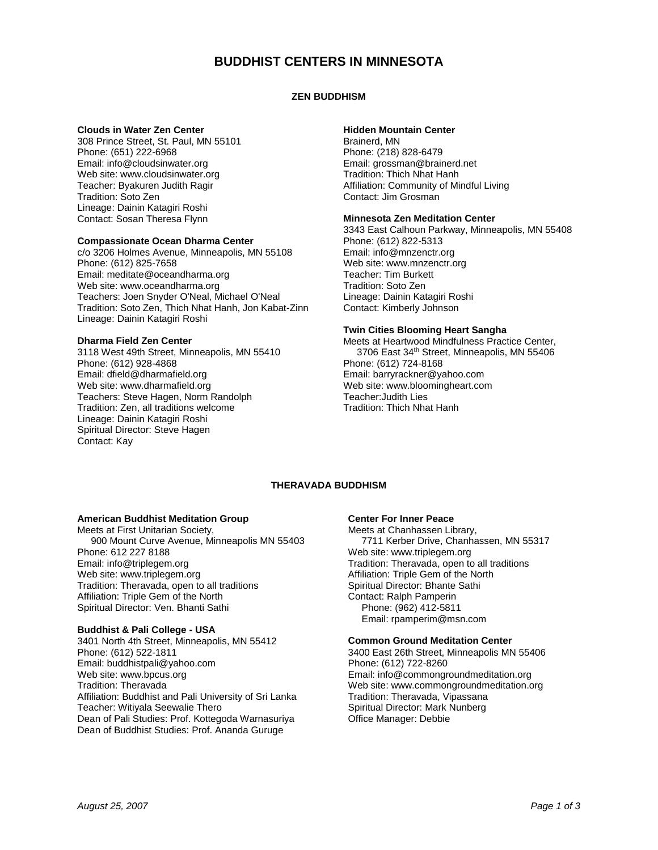# **BUDDHIST CENTERS IN MINNESOTA**

## **ZEN BUDDHISM**

## **Clouds in Water Zen Center**

308 Prince Street, St. Paul, MN 55101 Phone: (651) 222-6968 Email: info@cloudsinwater.org Web site: www.cloudsinwater.org Teacher: Byakuren Judith Ragir Tradition: Soto Zen Lineage: Dainin Katagiri Roshi Contact: Sosan Theresa Flynn

## **Compassionate Ocean Dharma Center**

c/o 3206 Holmes Avenue, Minneapolis, MN 55108 Phone: (612) 825-7658 Email: meditate@oceandharma.org Web site: www.oceandharma.org Teachers: Joen Snyder O'Neal, Michael O'Neal Tradition: Soto Zen, Thich Nhat Hanh, Jon Kabat-Zinn Lineage: Dainin Katagiri Roshi

#### **Dharma Field Zen Center**

3118 West 49th Street, Minneapolis, MN 55410 Phone: (612) 928-4868 Email: dfield@dharmafield.org Web site: www.dharmafield.org Teachers: Steve Hagen, Norm Randolph Tradition: Zen, all traditions welcome Lineage: Dainin Katagiri Roshi Spiritual Director: Steve Hagen Contact: Kay

## **Hidden Mountain Center**

Brainerd, MN Phone: (218) 828-6479 Email: grossman@brainerd.net Tradition: Thich Nhat Hanh Affiliation: Community of Mindful Living Contact: Jim Grosman

## **Minnesota Zen Meditation Center**

3343 East Calhoun Parkway, Minneapolis, MN 55408 Phone: (612) 822-5313 Email: info@mnzenctr.org Web site: www.mnzenctr.org Teacher: Tim Burkett Tradition: Soto Zen Lineage: Dainin Katagiri Roshi Contact: Kimberly Johnson

## **Twin Cities Blooming Heart Sangha**

Meets at Heartwood Mindfulness Practice Center, 3706 East 34<sup>th</sup> Street, Minneapolis, MN 55406 Phone: (612) 724-8168 Email: barryrackner@yahoo.com Web site: www.bloomingheart.com Teacher:Judith Lies Tradition: Thich Nhat Hanh

## **THERAVADA BUDDHISM**

## **American Buddhist Meditation Group**

Meets at First Unitarian Society, 900 Mount Curve Avenue, Minneapolis MN 55403 Phone: 612 227 8188 Email: info@triplegem.org Web site: www.triplegem.org Tradition: Theravada, open to all traditions Affiliation: Triple Gem of the North Spiritual Director: Ven. Bhanti Sathi

## **Buddhist & Pali College - USA**

3401 North 4th Street, Minneapolis, MN 55412 Phone: (612) 522-1811 Email: buddhistpali@yahoo.com Web site: www.bpcus.org Tradition: Theravada Affiliation: Buddhist and Pali University of Sri Lanka Teacher: Witiyala Seewalie Thero Dean of Pali Studies: Prof. Kottegoda Warnasuriya Dean of Buddhist Studies: Prof. Ananda Guruge

## **Center For Inner Peace**

Meets at Chanhassen Library, 7711 Kerber Drive, Chanhassen, MN 55317 Web site: www.triplegem.org Tradition: Theravada, open to all traditions Affiliation: Triple Gem of the North Spiritual Director: Bhante Sathi Contact: Ralph Pamperin Phone: (962) 412-5811 Email: rpamperim@msn.com

#### **Common Ground Meditation Center**

3400 East 26th Street, Minneapolis MN 55406 Phone: (612) 722-8260 Email: info@commongroundmeditation.org Web site: www.commongroundmeditation.org Tradition: Theravada, Vipassana Spiritual Director: Mark Nunberg Office Manager: Debbie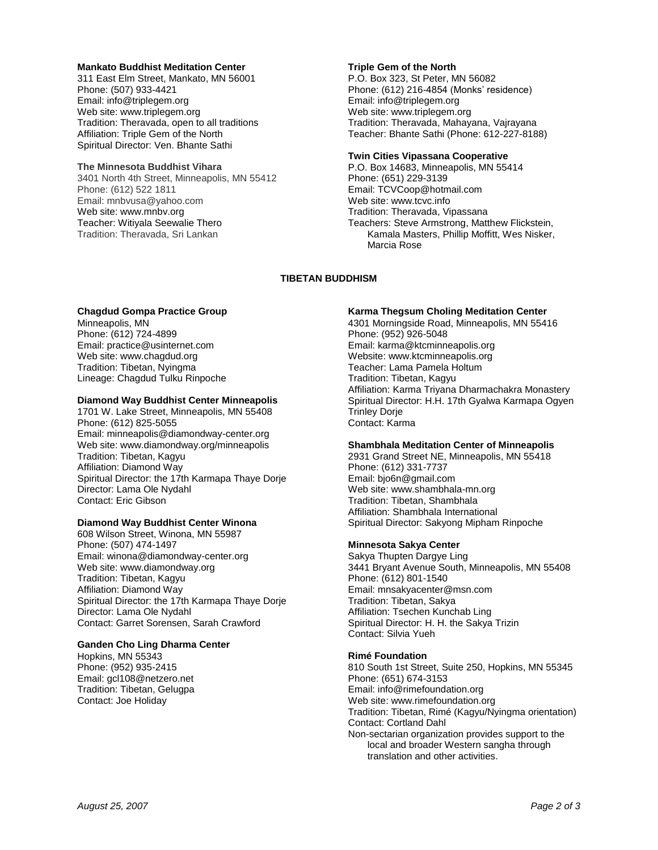#### **Mankato Buddhist Meditation Center**

311 East Elm Street, Mankato, MN 56001 Phone: (507) 933-4421 Email: info@triplegem.org Web site: www.triplegem.org Tradition: Theravada, open to all traditions Affiliation: Triple Gem of the North Spiritual Director: Ven. Bhante Sathi

#### **The Minnesota Buddhist Vihara**

3401 North 4th Street, Minneapolis, MN 55412 Phone: (612) 522 1811 Email: mnbvusa@yahoo.com Web site: www.mnbv.org Teacher: Witiyala Seewalie Thero Tradition: Theravada, Sri Lankan

#### **Triple Gem of the North**

P.O. Box 323, St Peter, MN 56082 Phone: (612) 216-4854 (Monks' residence) Email: info@triplegem.org Web site: www.triplegem.org Tradition: Theravada, Mahayana, Vajrayana Teacher: Bhante Sathi (Phone: 612-227-8188)

#### **Twin Cities Vipassana Cooperative**

P.O. Box 14683, Minneapolis, MN 55414 Phone: (651) 229-3139 Email: TCVCoop@hotmail.com Web site: www.tcvc.info Tradition: Theravada, Vipassana Teachers: Steve Armstrong, Matthew Flickstein, Kamala Masters, Phillip Moffitt, Wes Nisker, Marcia Rose

## **TIBETAN BUDDHISM**

## **Chagdud Gompa Practice Group**

Minneapolis, MN Phone: (612) 724-4899 Email: practice@usinternet.com Web site: www.chagdud.org Tradition: Tibetan, Nyingma Lineage: Chagdud Tulku Rinpoche

## **Diamond Way Buddhist Center Minneapolis**

1701 W. Lake Street, Minneapolis, MN 55408 Phone: (612) 825-5055 Email: minneapolis@diamondway-center.org Web site: www.diamondway.org/minneapolis Tradition: Tibetan, Kagyu Affiliation: Diamond Way Spiritual Director: the 17th Karmapa Thaye Dorje Director: Lama Ole Nydahl Contact: Eric Gibson

## **Diamond Way Buddhist Center Winona**

608 Wilson Street, Winona, MN 55987 Phone: (507) 474-1497 Email: winona@diamondway-center.org Web site: www.diamondway.org Tradition: Tibetan, Kagyu Affiliation: Diamond Way Spiritual Director: the 17th Karmapa Thaye Dorje Director: Lama Ole Nydahl Contact: Garret Sorensen, Sarah Crawford

## **Ganden Cho Ling Dharma Center**

Hopkins, MN 55343 Phone: (952) 935-2415 Email: gcl108@netzero.net Tradition: Tibetan, Gelugpa Contact: Joe Holiday

## **Karma Thegsum Choling Meditation Center**

4301 Morningside Road, Minneapolis, MN 55416 Phone: (952) 926-5048 Email: karma@ktcminneapolis.org Website: www.ktcminneapolis.org Teacher: Lama Pamela Holtum Tradition: Tibetan, Kagyu Affiliation: Karma Triyana Dharmachakra Monastery Spiritual Director: H.H. 17th Gyalwa Karmapa Ogyen Trinley Dorje Contact: Karma

## **Shambhala Meditation Center of Minneapolis**

2931 Grand Street NE, Minneapolis, MN 55418 Phone: (612) 331-7737 Email: bjo6n@gmail.com Web site: www.shambhala-mn.org Tradition: Tibetan, Shambhala Affiliation: Shambhala International Spiritual Director: Sakyong Mipham Rinpoche

## **Minnesota Sakya Center**

Sakya Thupten Dargye Ling 3441 Bryant Avenue South, Minneapolis, MN 55408 Phone: (612) 801-1540 Email: mnsakyacenter@msn.com Tradition: Tibetan, Sakya Affiliation: Tsechen Kunchab Ling Spiritual Director: H. H. the Sakya Trizin Contact: Silvia Yueh

## **Rimé Foundation**

810 South 1st Street, Suite 250, Hopkins, MN 55345 Phone: (651) 674-3153 Email: info@rimefoundation.org Web site: www.rimefoundation.org Tradition: Tibetan, Rimé (Kagyu/Nyingma orientation) Contact: Cortland Dahl Non-sectarian organization provides support to the local and broader Western sangha through translation and other activities.